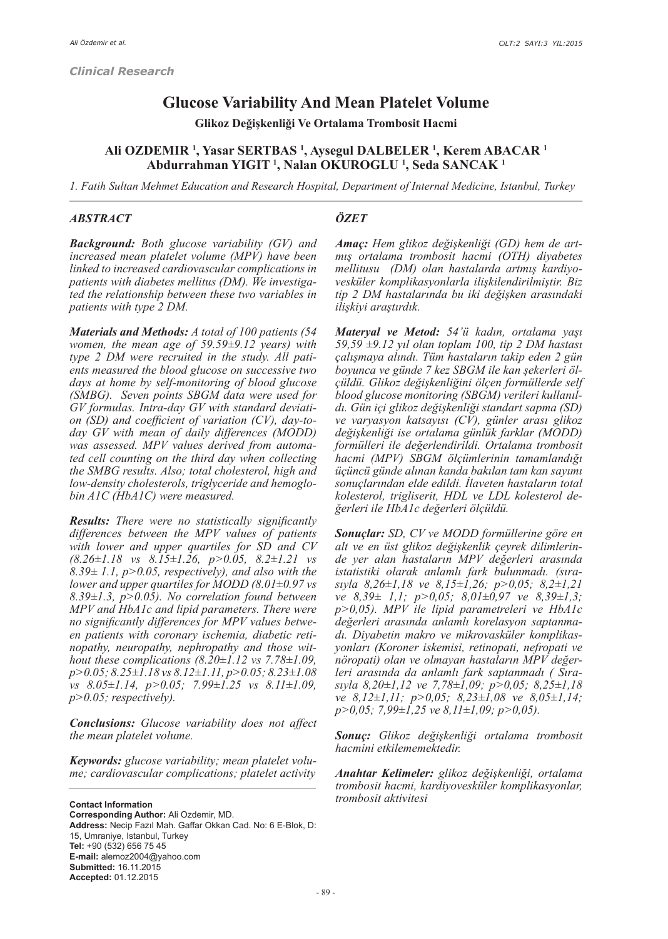# **Glucose Variability And Mean Platelet Volume**

**Glikoz Değişkenliği Ve Ortalama Trombosit Hacmi**

## **Ali OZDEMIR <sup>1</sup> , Yasar SERTBAS <sup>1</sup> , Aysegul DALBELER <sup>1</sup> , Kerem ABACAR <sup>1</sup> Abdurrahman YIGIT <sup>1</sup> , Nalan OKUROGLU <sup>1</sup> , Seda SANCAK <sup>1</sup>**

*1. Fatih Sultan Mehmet Education and Research Hospital, Department of Internal Medicine, Istanbul, Turkey*

#### *ABSTRACT*

#### *ÖZET*

*Background: Both glucose variability (GV) and increased mean platelet volume (MPV) have been linked to increased cardiovascular complications in patients with diabetes mellitus (DM). We investigated the relationship between these two variables in patients with type 2 DM.*

*Materials and Methods: A total of 100 patients (54 women, the mean age of 59.59±9.12 years) with type 2 DM were recruited in the study. All patients measured the blood glucose on successive two days at home by self-monitoring of blood glucose (SMBG). Seven points SBGM data were used for GV formulas. Intra-day GV with standard deviation (SD) and coefficient of variation (CV), day-today GV with mean of daily differences (MODD) was assessed. MPV values derived from automated cell counting on the third day when collecting the SMBG results. Also; total cholesterol, high and low-density cholesterols, triglyceride and hemoglobin A1C (HbA1C) were measured.*

*Results: There were no statistically significantly differences between the MPV values of patients with lower and upper quartiles for SD and CV (8.26±1.18 vs 8.15±1.26, p>0.05, 8.2±1.21 vs 8.39± 1.1, p>0.05, respectively), and also with the lower and upper quartiles for MODD (8.01±0.97 vs 8.39±1.3, p>0.05). No correlation found between MPV and HbA1c and lipid parameters. There were no significantly differences for MPV values between patients with coronary ischemia, diabetic retinopathy, neuropathy, nephropathy and those without these complications (8.20±1.12 vs 7.78±1.09, p>0.05; 8.25±1.18 vs 8.12±1.11, p>0.05; 8.23±1.08 vs 8.05±1.14, p>0.05; 7.99±1.25 vs 8.11±1.09, p>0.05; respectively).*

*Conclusions: Glucose variability does not affect the mean platelet volume.*

*Keywords: glucose variability; mean platelet volume; cardiovascular complications; platelet activity*

**Contact Information Corresponding Author:** Ali Ozdemir, MD. **Address:** Necip Fazıl Mah. Gaffar Okkan Cad. No: 6 E-Blok, D: 15, Umraniye, Istanbul, Turkey **Tel:** +90 (532) 656 75 45 **E-mail:** alemoz2004@yahoo.com **Submitted:** 16.11.2015 **Accepted:** 01.12.2015

*Amaç: Hem glikoz değişkenliği (GD) hem de artmış ortalama trombosit hacmi (OTH) diyabetes mellitusu (DM) olan hastalarda artmış kardiyovesküler komplikasyonlarla ilişkilendirilmiştir. Biz tip 2 DM hastalarında bu iki değişken arasındaki ilişkiyi araştırdık.*

*Materyal ve Metod: 54'ü kadın, ortalama yaşı 59,59 ±9.12 yıl olan toplam 100, tip 2 DM hastası çalışmaya alındı. Tüm hastaların takip eden 2 gün boyunca ve günde 7 kez SBGM ile kan şekerleri ölçüldü. Glikoz değişkenliğini ölçen formüllerde self blood glucose monitoring (SBGM) verileri kullanıldı. Gün içi glikoz değişkenliği standart sapma (SD) ve varyasyon katsayısı (CV), günler arası glikoz değişkenliği ise ortalama günlük farklar (MODD) formülleri ile değerlendirildi. Ortalama trombosit hacmi (MPV) SBGM ölçümlerinin tamamlandığı üçüncü günde alınan kanda bakılan tam kan sayımı sonuçlarından elde edildi. İlaveten hastaların total kolesterol, trigliserit, HDL ve LDL kolesterol değerleri ile HbA1c değerleri ölçüldü.*

*Sonuçlar: SD, CV ve MODD formüllerine göre en alt ve en üst glikoz değişkenlik çeyrek dilimlerinde yer alan hastaların MPV değerleri arasında istatistiki olarak anlamlı fark bulunmadı. (sırasıyla 8,26±1,18 ve 8,15±1,26; p>0,05; 8,2±1,21 ve 8,39± 1,1; p>0,05; 8,01±0,97 ve 8,39±1,3; p>0,05). MPV ile lipid parametreleri ve HbA1c değerleri arasında anlamlı korelasyon saptanmadı. Diyabetin makro ve mikrovasküler komplikasyonları (Koroner iskemisi, retinopati, nefropati ve nöropati) olan ve olmayan hastaların MPV değerleri arasında da anlamlı fark saptanmadı ( Sırasıyla 8,20±1,12 ve 7,78±1,09; p>0,05; 8,25±1,18 ve 8,12±1,11; p>0,05; 8,23±1,08 ve 8,05±1,14; p>0,05; 7,99±1,25 ve 8,11±1,09; p>0,05).*

*Sonuç: Glikoz değişkenliği ortalama trombosit hacmini etkilememektedir.*

*Anahtar Kelimeler: glikoz değişkenliği, ortalama trombosit hacmi, kardiyovesküler komplikasyonlar, trombosit aktivitesi*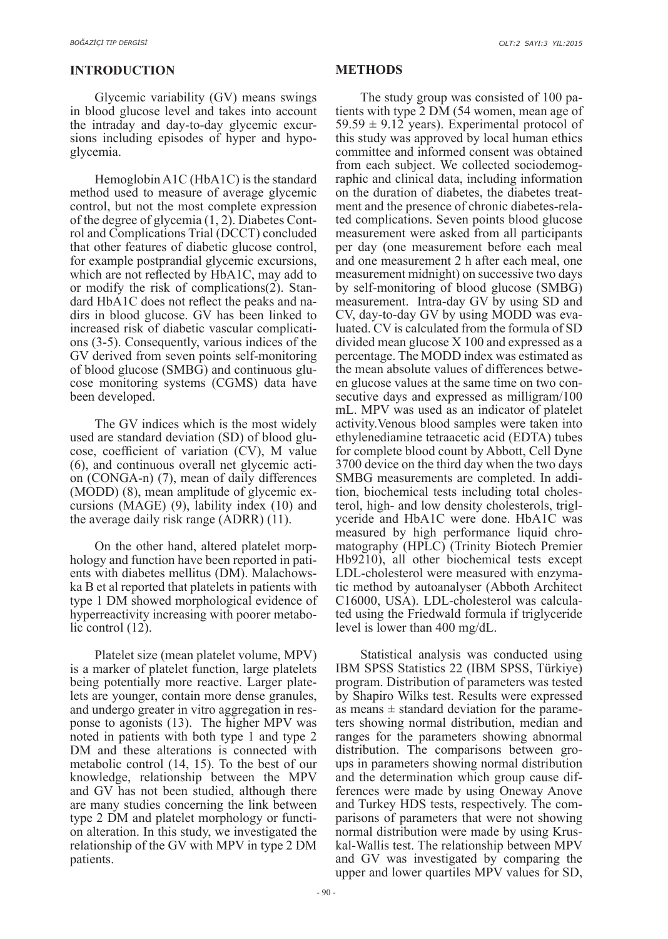## **INTRODUCTION**

Glycemic variability (GV) means swings in blood glucose level and takes into account the intraday and day-to-day glycemic excursions including episodes of hyper and hypoglycemia.

Hemoglobin A1C (HbA1C) is the standard method used to measure of average glycemic control, but not the most complete expression of the degree of glycemia (1, 2). Diabetes Control and Complications Trial (DCCT) concluded that other features of diabetic glucose control, for example postprandial glycemic excursions, which are not reflected by HbA1C, may add to or modify the risk of complications(2). Standard HbA1C does not reflect the peaks and nadirs in blood glucose. GV has been linked to increased risk of diabetic vascular complications (3-5). Consequently, various indices of the GV derived from seven points self-monitoring of blood glucose (SMBG) and continuous glucose monitoring systems (CGMS) data have been developed.

The GV indices which is the most widely used are standard deviation (SD) of blood glucose, coefficient of variation (CV), M value (6), and continuous overall net glycemic action (CONGA-n) (7), mean of daily differences (MODD) (8), mean amplitude of glycemic excursions (MAGE) (9), lability index (10) and the average daily risk range (ADRR) (11).

On the other hand, altered platelet morphology and function have been reported in patients with diabetes mellitus (DM). Malachowska B et al reported that platelets in patients with type 1 DM showed morphological evidence of hyperreactivity increasing with poorer metabolic control (12).

Platelet size (mean platelet volume, MPV) is a marker of platelet function, large platelets being potentially more reactive. Larger platelets are younger, contain more dense granules, and undergo greater in vitro aggregation in response to agonists (13). The higher MPV was noted in patients with both type 1 and type 2 DM and these alterations is connected with metabolic control (14, 15). To the best of our knowledge, relationship between the MPV and GV has not been studied, although there are many studies concerning the link between type 2 DM and platelet morphology or function alteration. In this study, we investigated the relationship of the GV with MPV in type 2 DM patients.

### **METHODS**

The study group was consisted of 100 patients with type 2 DM (54 women, mean age of  $59.59 \pm 9.12$  years). Experimental protocol of this study was approved by local human ethics committee and informed consent was obtained from each subject. We collected sociodemographic and clinical data, including information on the duration of diabetes, the diabetes treatment and the presence of chronic diabetes-related complications. Seven points blood glucose measurement were asked from all participants per day (one measurement before each meal and one measurement 2 h after each meal, one measurement midnight) on successive two days by self-monitoring of blood glucose (SMBG) measurement. Intra-day GV by using SD and CV, day-to-day GV by using MODD was evaluated. CV is calculated from the formula of SD divided mean glucose X 100 and expressed as a percentage. The MODD index was estimated as the mean absolute values of differences between glucose values at the same time on two consecutive days and expressed as milligram/100 mL. MPV was used as an indicator of platelet activity.Venous blood samples were taken into ethylenediamine tetraacetic acid (EDTA) tubes for complete blood count by Abbott, Cell Dyne 3700 device on the third day when the two days SMBG measurements are completed. In addition, biochemical tests including total cholesterol, high- and low density cholesterols, triglyceride and HbA1C were done. HbA1C was measured by high performance liquid chromatography (HPLC) (Trinity Biotech Premier Hb9210), all other biochemical tests except LDL-cholesterol were measured with enzymatic method by autoanalyser (Abboth Architect C16000, USA). LDL-cholesterol was calculated using the Friedwald formula if triglyceride level is lower than 400 mg/dL.

Statistical analysis was conducted using IBM SPSS Statistics 22 (IBM SPSS, Türkiye) program. Distribution of parameters was tested by Shapiro Wilks test. Results were expressed as means  $\pm$  standard deviation for the parameters showing normal distribution, median and ranges for the parameters showing abnormal distribution. The comparisons between groups in parameters showing normal distribution and the determination which group cause differences were made by using Oneway Anove and Turkey HDS tests, respectively. The comparisons of parameters that were not showing normal distribution were made by using Kruskal-Wallis test. The relationship between MPV and GV was investigated by comparing the upper and lower quartiles MPV values for SD,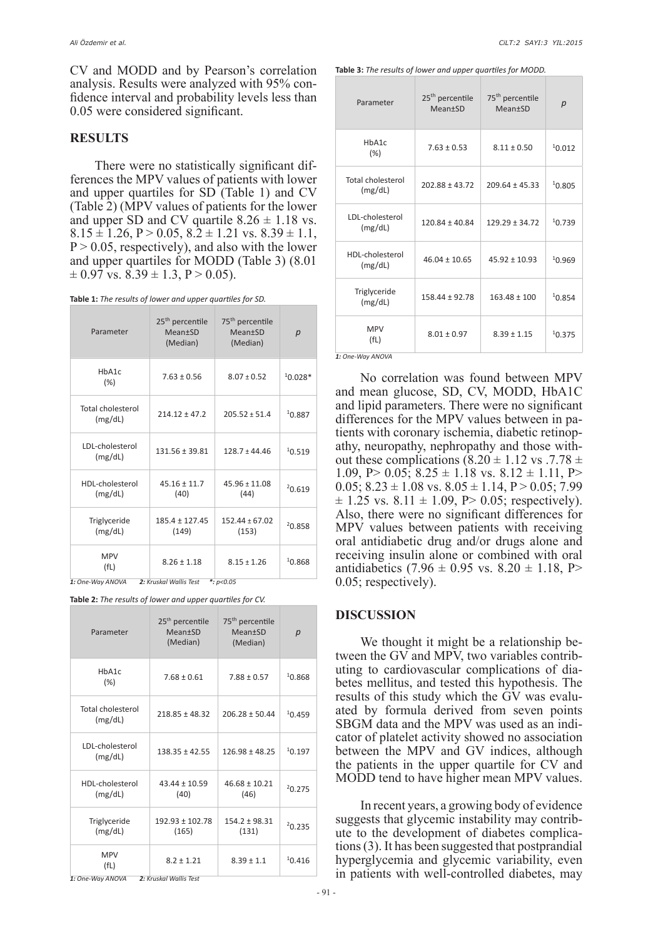CV and MODD and by Pearson's correlation analysis. Results were analyzed with 95% confidence interval and probability levels less than 0.05 were considered significant.

## **RESULTS**

There were no statistically significant differences the MPV values of patients with lower and upper quartiles for SD (Table 1) and CV (Table 2) (MPV values of patients for the lower and upper SD and CV quartile  $8.26 \pm 1.18$  vs.  $8.15 \pm 1.26$ ,  $P > 0.05$ ,  $8.2 \pm 1.21$  vs.  $8.39 \pm 1.1$ ,  $P > 0.05$ , respectively), and also with the lower and upper quartiles for MODD (Table 3) (8.01  $\pm$  0.97 vs. 8.39  $\pm$  1.3, P > 0.05).

**Table 1:** *The results of lower and upper quartiles for SD.*

| Parameter                    | 25 <sup>th</sup> percentile<br>$Mean+SD$<br>(Median) | 75 <sup>th</sup> percentile<br>$Mean+SD$<br>(Median) | p         |
|------------------------------|------------------------------------------------------|------------------------------------------------------|-----------|
| HbA1c<br>(%)                 | $7.63 \pm 0.56$                                      | $8.07 \pm 0.52$                                      | $10.028*$ |
| Total cholesterol<br>(mg/dL) | $214.12 \pm 47.2$                                    | $205.52 \pm 51.4$                                    | 10.887    |
| LDL-cholesterol<br>(mg/dL)   | $131.56 \pm 39.81$                                   | $128.7 \pm 44.46$                                    | 10.519    |
| HDL-cholesterol<br>(mg/dL)   | $45.16 \pm 11.7$<br>(40)                             | $45.96 \pm 11.08$<br>(44)                            | 20.619    |
| Triglyceride<br>(mg/dL)      | $185.4 \pm 127.45$<br>(149)                          | $152.44 + 67.02$<br>(153)                            | 20.858    |
| <b>MPV</b><br>(fL)           | $8.26 \pm 1.18$                                      | $8.15 \pm 1.26$                                      | 10.868    |

*1: One-Way ANOVA 2: Kruskal Wallis Test \*: p<0.05*

**Table 2:** *The results of lower and upper quartiles for CV.*

| Parameter                              | 25 <sup>th</sup> percentile<br>Mean±SD<br>(Median) | 75 <sup>th</sup> percentile<br><b>Mean</b> <sup>t</sup> SD<br>(Median) | p      |
|----------------------------------------|----------------------------------------------------|------------------------------------------------------------------------|--------|
| HbA1c<br>$(\%)$                        | $7.68 \pm 0.61$                                    | $7.88 \pm 0.57$                                                        | 10.868 |
| <b>Total cholesterol</b><br>(mg/dL)    | $218.85 \pm 48.32$                                 | $206.28 \pm 50.44$                                                     | 10.459 |
| LDL-cholesterol<br>(mg/dL)             | $138.35 \pm 42.55$                                 | $126.98 \pm 48.25$                                                     | 10.197 |
| HDL-cholesterol<br>(mg/dL)             | $43.44 \pm 10.59$<br>(40)                          | $46.68 \pm 10.21$<br>(46)                                              | 20.275 |
| Triglyceride<br>(mg/dL)                | $192.93 \pm 102.78$<br>(165)                       | $154.2 \pm 98.31$<br>(131)                                             | 20.235 |
| <b>MPV</b><br>(fL)<br>1: One-Way ANOVA | $8.2 \pm 1.21$<br>2: Kruskal Wallis Test           | $8.39 \pm 1.1$                                                         | 10.416 |

**Table 3:** *The results of lower and upper quartiles for MODD.*

| Parameter                    | 25 <sup>th</sup> percentile<br><b>Mean</b> <sup>+</sup> SD | 75 <sup>th</sup> percentile<br><b>Mean</b> <sup>+</sup> SD | $\boldsymbol{p}$ |
|------------------------------|------------------------------------------------------------|------------------------------------------------------------|------------------|
| HbA1c<br>$(\%)$              | $7.63 \pm 0.53$                                            | $8.11 \pm 0.50$                                            | 10.012           |
| Total cholesterol<br>(mg/dL) | $202.88 \pm 43.72$                                         | $209.64 \pm 45.33$                                         | 10.805           |
| LDL-cholesterol<br>(mg/dL)   | $120.84 \pm 40.84$                                         | $129.29 \pm 34.72$                                         | 10.739           |
| HDL-cholesterol<br>(mg/dL)   | $46.04 \pm 10.65$                                          | $45.92 \pm 10.93$                                          | 10.969           |
| Triglyceride<br>(mg/dL)      | $158.44 \pm 92.78$                                         | $163.48 \pm 100$                                           | 10.854           |
| <b>MPV</b><br>(fL)           | $8.01 \pm 0.97$                                            | $8.39 \pm 1.15$                                            | 10.375           |

*1: One-Way ANOVA*

No correlation was found between MPV and mean glucose, SD, CV, MODD, HbA1C and lipid parameters. There were no significant differences for the MPV values between in patients with coronary ischemia, diabetic retinopathy, neuropathy, nephropathy and those without these complications  $(8.20 \pm 1.12 \text{ vs. } 7.78 \pm 1.12 \text{ vs. } 7.78 \pm 1.12 \text{ vs. } 7.78 \pm 1.12 \text{ vs. } 7.78 \pm 1.12 \text{ vs. } 7.78 \pm 1.12 \text{ vs. } 7.78 \pm 1.12 \text{ vs. } 7.78 \pm 1.12 \text{ vs. } 7.78 \pm 1.12 \text{ vs. } 7.78 \pm 1.12 \text{ vs. } 7.78 \pm 1.12 \text{ vs$ 1.09, P > 0.05;  $8.25 \pm 1.18$  vs.  $8.12 \pm 1.11$ , P  $0.05$ ;  $8.23 \pm 1.08$  vs.  $8.05 \pm 1.14$ ,  $P > 0.05$ ; 7.99  $\pm$  1.25 vs. 8.11  $\pm$  1.09, P > 0.05; respectively). Also, there were no significant differences for MPV values between patients with receiving oral antidiabetic drug and/or drugs alone and receiving insulin alone or combined with oral antidiabetics (7.96  $\pm$  0.95 vs. 8.20  $\pm$  1.18, P> 0.05; respectively).

#### **DISCUSSION**

We thought it might be a relationship between the GV and MPV, two variables contributing to cardiovascular complications of diabetes mellitus, and tested this hypothesis. The results of this study which the GV was evaluated by formula derived from seven points SBGM data and the MPV was used as an indicator of platelet activity showed no association between the MPV and GV indices, although the patients in the upper quartile for CV and MODD tend to have higher mean MPV values.

In recent years, a growing body of evidence suggests that glycemic instability may contribute to the development of diabetes complications (3). It has been suggested that postprandial hyperglycemia and glycemic variability, even in patients with well-controlled diabetes, may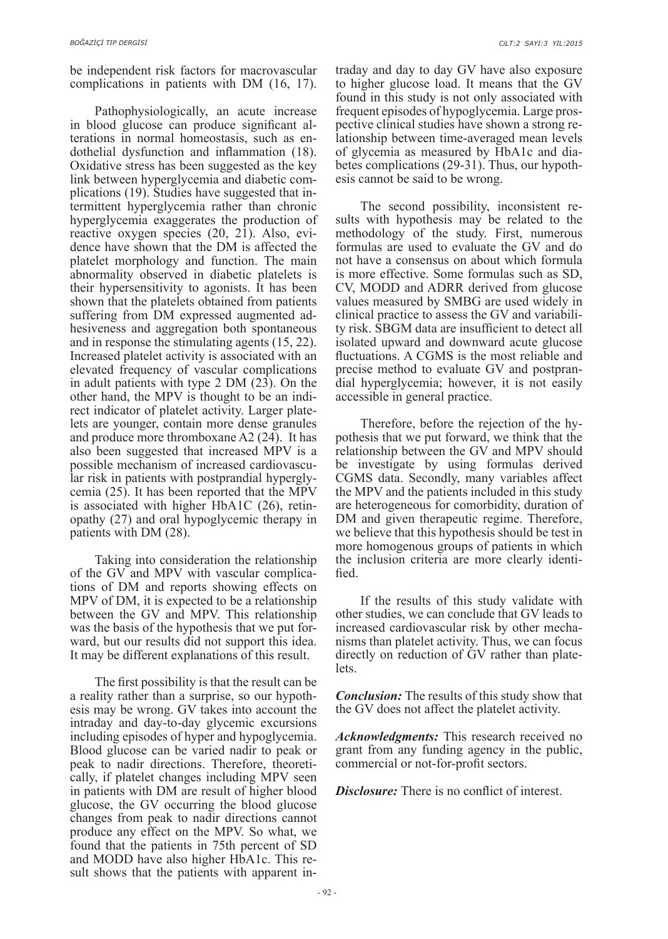be independent risk factors for macrovascular complications in patients with DM (16, 17).

Pathophysiologically, an acute increase in blood glucose can produce significant alterations in normal homeostasis, such as endothelial dysfunction and inflammation (18). Oxidative stress has been suggested as the key link between hyperglycemia and diabetic complications (19). Studies have suggested that intermittent hyperglycemia rather than chronic hyperglycemia exaggerates the production of reactive oxygen species (20, 21). Also, evidence have shown that the DM is affected the platelet morphology and function. The main abnormality observed in diabetic platelets is their hypersensitivity to agonists. It has been shown that the platelets obtained from patients suffering from DM expressed augmented adhesiveness and aggregation both spontaneous and in response the stimulating agents (15, 22). Increased platelet activity is associated with an elevated frequency of vascular complications in adult patients with type 2 DM (23). On the other hand, the MPV is thought to be an indirect indicator of platelet activity. Larger platelets are younger, contain more dense granules and produce more thromboxane A2 (24). It has also been suggested that increased MPV is a possible mechanism of increased cardiovascular risk in patients with postprandial hyperglycemia (25). It has been reported that the MPV is associated with higher HbA1C (26), retinopathy (27) and oral hypoglycemic therapy in patients with DM (28).

Taking into consideration the relationship of the GV and MPV with vascular complications of DM and reports showing effects on MPV of DM, it is expected to be a relationship between the GV and MPV. This relationship was the basis of the hypothesis that we put forward, but our results did not support this idea. It may be different explanations of this result.

The first possibility is that the result can be a reality rather than a surprise, so our hypothesis may be wrong. GV takes into account the intraday and day-to-day glycemic excursions including episodes of hyper and hypoglycemia. Blood glucose can be varied nadir to peak or peak to nadir directions. Therefore, theoretically, if platelet changes including MPV seen in patients with DM are result of higher blood glucose, the GV occurring the blood glucose changes from peak to nadir directions cannot produce any effect on the MPV. So what, we found that the patients in 75th percent of SD and MODD have also higher HbA1c. This result shows that the patients with apparent intraday and day to day GV have also exposure to higher glucose load. It means that the GV found in this study is not only associated with frequent episodes of hypoglycemia. Large prospective clinical studies have shown a strong relationship between time-averaged mean levels of glycemia as measured by HbA1c and diabetes complications (29-31). Thus, our hypothesis cannot be said to be wrong.

The second possibility, inconsistent results with hypothesis may be related to the methodology of the study. First, numerous formulas are used to evaluate the GV and do not have a consensus on about which formula is more effective. Some formulas such as SD, CV, MODD and ADRR derived from glucose values measured by SMBG are used widely in clinical practice to assess the GV and variability risk. SBGM data are insufficient to detect all isolated upward and downward acute glucose fluctuations. A CGMS is the most reliable and precise method to evaluate GV and postprandial hyperglycemia; however, it is not easily accessible in general practice.

Therefore, before the rejection of the hypothesis that we put forward, we think that the relationship between the GV and MPV should be investigate by using formulas derived CGMS data. Secondly, many variables affect the MPV and the patients included in this study are heterogeneous for comorbidity, duration of DM and given therapeutic regime. Therefore, we believe that this hypothesis should be test in more homogenous groups of patients in which the inclusion criteria are more clearly identified.

If the results of this study validate with other studies, we can conclude that GV leads to increased cardiovascular risk by other mechanisms than platelet activity. Thus, we can focus directly on reduction of GV rather than platelets.

*Conclusion:* The results of this study show that the GV does not affect the platelet activity.

*Acknowledgments:* This research received no grant from any funding agency in the public, commercial or not-for-profit sectors.

*Disclosure:* There is no conflict of interest.